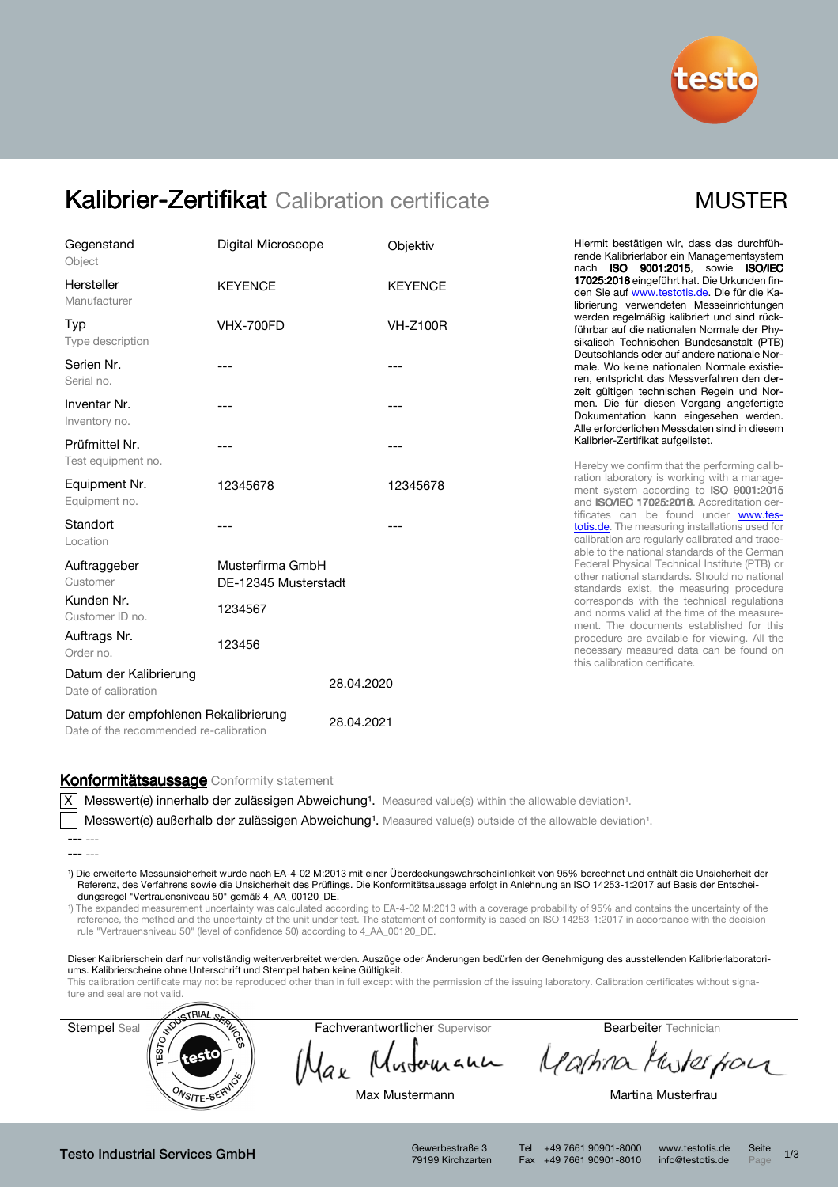

## Kalibrier-Zertifikat Calibration certificate MUSTER

| Gegenstand<br>Object                                                           | Digital Microscope                       |            | Objektiv        |
|--------------------------------------------------------------------------------|------------------------------------------|------------|-----------------|
| Hersteller<br>Manufacturer                                                     | <b>KEYENCE</b>                           |            | <b>KEYENCE</b>  |
| Typ<br>Type description                                                        | <b>VHX-700FD</b>                         |            | <b>VH-Z100R</b> |
| Serien Nr.<br>Serial no.                                                       | $---$                                    |            | ---             |
| Inventar Nr.<br>Inventory no.                                                  | ---                                      |            | ---             |
| Prüfmittel Nr.<br>Test equipment no.                                           | ---                                      |            | ---             |
| Equipment Nr.<br>Equipment no.                                                 | 12345678                                 |            | 12345678        |
| Standort<br>Location                                                           |                                          |            |                 |
| Auftraggeber<br>Customer                                                       | Musterfirma GmbH<br>DE-12345 Musterstadt |            |                 |
| Kunden Nr.<br>Customer ID no.                                                  | 1234567                                  |            |                 |
| Auftrags Nr.<br>Order no.                                                      | 123456                                   |            |                 |
| Datum der Kalibrierung<br>Date of calibration                                  |                                          | 28.04.2020 |                 |
| Datum der empfohlenen Rekalibrierung<br>Date of the recommended re-calibration | 28.04.2021                               |            |                 |

Hiermit bestätigen wir, dass das durchführende Kalibrierlabor ein Managementsystem nach ISO 9001:2015, sowie ISO/IEC 17025:2018 eingeführt hat. Die Urkunden finden Sie auf www.testotis.de. Die für die Kalibrierung verwendeten Messeinrichtungen werden regelmäßig kalibriert und sind rückführbar auf die nationalen Normale der Physikalisch Technischen Bundesanstalt (PTB) Deutschlands oder auf andere nationale Normale. Wo keine nationalen Normale existieren, entspricht das Messverfahren den derzeit gültigen technischen Regeln und Normen. Die für diesen Vorgang angefertigte Dokumentation kann eingesehen werden. Alle erforderlichen Messdaten sind in diesem Kalibrier-Zertifikat aufgelistet.

Hereby we confirm that the performing calibration laboratory is working with a management system according to **ISO 9001:2015** and ISO/IEC 17025:2018. Accreditation certificates can be found under www.testotis.de. The measuring installations used for calibration are regularly calibrated and traceable to the national standards of the German Federal Physical Technical Institute (PTB) or other national standards. Should no national standards exist, the measuring procedure corresponds with the technical regulations and norms valid at the time of the measurement. The documents established for this procedure are available for viewing. All the necessary measured data can be found on this calibration certificate.

### Konformitätsaussage Conformity statement

X Messwert(e) innerhalb der zulässigen Abweichung<sup>1</sup>. Measured value(s) within the allowable deviation<sup>1</sup>.

Messwert(e) außerhalb der zulässigen Abweichung<sup>1</sup>. Measured value(s) outside of the allowable deviation<sup>1</sup>.

¹) Die erweiterte Messunsicherheit wurde nach EA-4-02 M:2013 mit einer Überdeckungswahrscheinlichkeit von 95% berechnet und enthält die Unsicherheit der Referenz, des Verfahrens sowie die Unsicherheit des Prüflings. Die Konformitätsaussage erfolgt in Anlehnung an ISO 14253-1:2017 auf Basis der Entscheidungsregel "Vertrauensniveau 50" gemäß 4\_AA\_00120\_DE.

¹) The expanded measurement uncertainty was calculated according to EA-4-02 M:2013 with a coverage probability of 95% and contains the uncertainty of the reference, the method and the uncertainty of the unit under test. The statement of conformity is based on ISO 14253-1:2017 in accordance with the decision rule "Vertrauensniveau 50" (level of confidence 50) according to 4\_AA\_00120\_DE.

Dieser Kalibrierschein darf nur vollständig weiterverbreitet werden. Auszüge oder Änderungen bedürfen der Genehmigung des ausstellenden Kalibrierlaboratoriums. Kalibrierscheine ohne Unterschrift und Stempel haben keine Gültigkeit.

This calibration certificate may not be reproduced other than in full except with the permission of the issuing laboratory. Calibration certificates without signa-



lax

Mustomann Martina Musterpon

Max Mustermann **Martina Musterfrau** 

Testo Industrial Services GmbH Gewerbestraße 3

79199 Kirchzarten

Tel +49 7661 90901-8000 www.testotis.de Seite 1/3 Fax +49 7661 90901-8010 info@testotis.de Page

<sup>---</sup> ---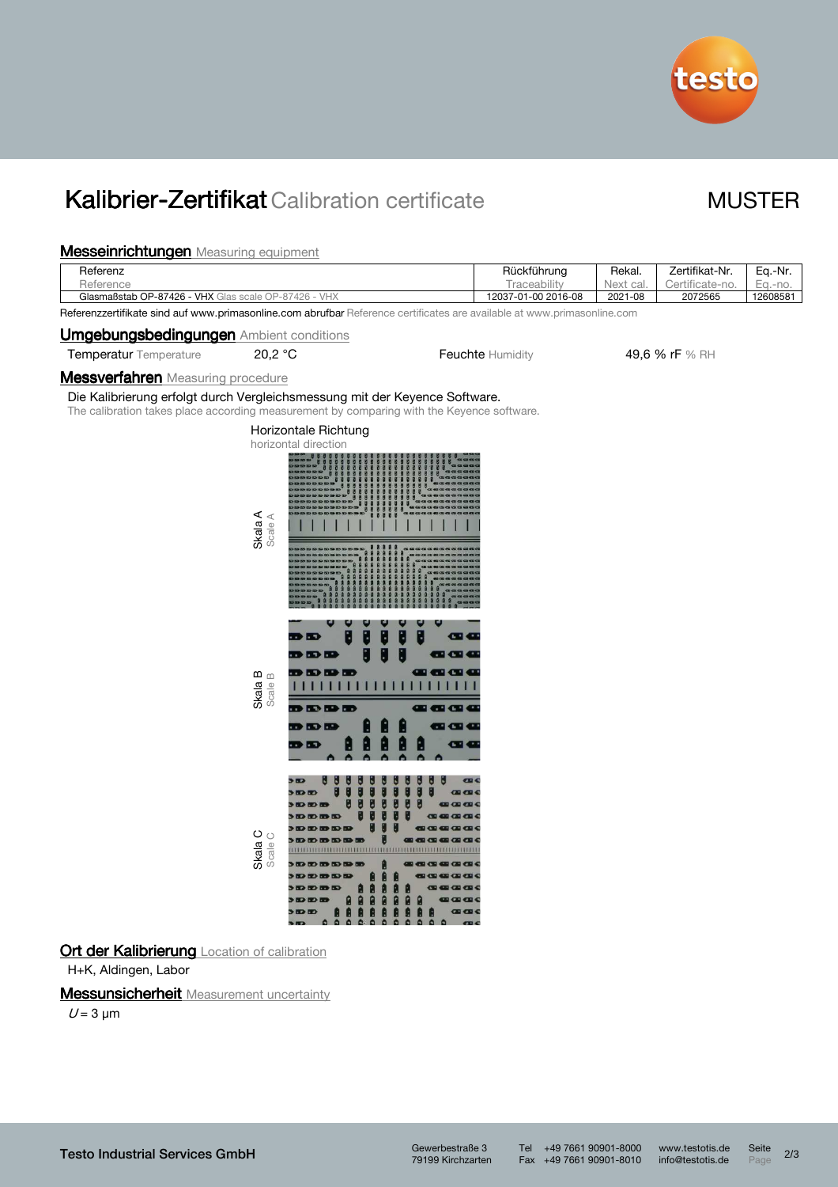

# Kalibrier-Zertifikat Calibration certificate MUSTER

### **Messeinrichtungen** Measuring equipment

| <b>Messeinrichtungen</b> Measuring equipment                                                                                                                              |                    |                                                                                                    |                                                                                                                                                                                          |                     |           |                 |          |
|---------------------------------------------------------------------------------------------------------------------------------------------------------------------------|--------------------|----------------------------------------------------------------------------------------------------|------------------------------------------------------------------------------------------------------------------------------------------------------------------------------------------|---------------------|-----------|-----------------|----------|
| Referenz                                                                                                                                                                  |                    |                                                                                                    |                                                                                                                                                                                          | Rückführung         | Rekal.    | Zertifikat-Nr.  | Eq.-Nr.  |
| Reference                                                                                                                                                                 |                    |                                                                                                    |                                                                                                                                                                                          | Traceability        | Next cal. | Certificate-no. | Eq.-no.  |
| Glasmaßstab OP-87426 - VHX Glas scale OP-87426 - VHX                                                                                                                      |                    |                                                                                                    |                                                                                                                                                                                          | 12037-01-00 2016-08 | 2021-08   | 2072565         | 12608581 |
| Referenzzertifikate sind auf www.primasonline.com abrufbar Reference certificates are available at www.primasonline.com<br><b>Umgebungsbedingungen</b> Ambient conditions |                    |                                                                                                    |                                                                                                                                                                                          |                     |           |                 |          |
| Temperatur Temperature                                                                                                                                                    | 20,2 °C            |                                                                                                    |                                                                                                                                                                                          | Feuchte Humidity    |           | 49,6 % rF % RH  |          |
| <b>Messverfahren</b> Measuring procedure                                                                                                                                  |                    |                                                                                                    |                                                                                                                                                                                          |                     |           |                 |          |
| Die Kalibrierung erfolgt durch Vergleichsmessung mit der Keyence Software.<br>The calibration takes place according measurement by comparing with the Keyence software.   |                    |                                                                                                    |                                                                                                                                                                                          |                     |           |                 |          |
|                                                                                                                                                                           | Skala A<br>Scale A | Horizontale Richtung<br>horizontal direction                                                       |                                                                                                                                                                                          |                     |           |                 |          |
|                                                                                                                                                                           | Skala B<br>Scale B | $\rightarrow$<br><b>DDD</b><br><b>DDDDD</b><br>.<br><b>BDDDDDD</b><br><b>BDB</b><br>D ID           | $\mathbf G$<br><b>CD</b> O<br>a a a<br><u>THE TELEVISION NEWSFILM IN THE TELEVISION OF THE TELEVISION OF THE TELEVISION OF THE TELEVISION OF THE TELEVIS</u><br>---<br><b>200</b><br>œ e |                     |           |                 |          |
|                                                                                                                                                                           | Skala C<br>Scale C | ۵<br>$\Delta$<br>$\alpha$<br>$\theta$<br>$\mathbf{a}$<br>$\mathbf{a}$<br>$\mathbf{a}$<br>$\bullet$ | CDCD<br>$\Omega$<br>$\mathbf{a}$<br>D                                                                                                                                                    |                     |           |                 |          |

Ort der Kalibrierung Location of calibration

H+K, Aldingen, Labor

### **Messunsicherheit** Measurement uncertainty

 $U = 3 \mu m$ 

Tel +49 7661 90901-8000 www.testotis.de Seite 2/3 Fax +49 7661 90901-8010 info@testotis.de Page